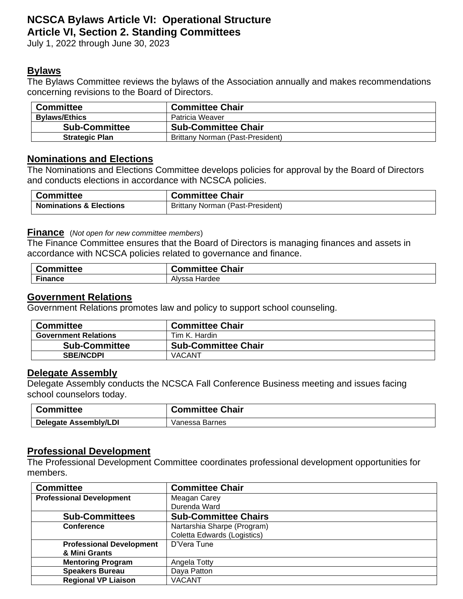# **NCSCA Bylaws Article VI: Operational Structure Article VI, Section 2. Standing Committees**

July 1, 2022 through June 30, 2023

# **Bylaws**

The Bylaws Committee reviews the bylaws of the Association annually and makes recommendations concerning revisions to the Board of Directors.

| <b>Committee</b>      | <b>Committee Chair</b>           |
|-----------------------|----------------------------------|
| <b>Bylaws/Ethics</b>  | Patricia Weaver                  |
| <b>Sub-Committee</b>  | <b>Sub-Committee Chair</b>       |
| <b>Strategic Plan</b> | Brittany Norman (Past-President) |

# **Nominations and Elections**

The Nominations and Elections Committee develops policies for approval by the Board of Directors and conducts elections in accordance with NCSCA policies.

| <b>Committee</b>                   | <b>Committee Chair</b>           |
|------------------------------------|----------------------------------|
| <b>Nominations &amp; Elections</b> | Brittany Norman (Past-President) |

#### **Finance** (*Not open for new committee members*)

The Finance Committee ensures that the Board of Directors is managing finances and assets in accordance with NCSCA policies related to governance and finance.

| Committee | <b>Committee Chair</b> |
|-----------|------------------------|
| Finance   | Hardee<br>Alvssa       |

#### **Government Relations**

Government Relations promotes law and policy to support school counseling.

| <b>Committee</b>            | <b>Committee Chair</b>     |
|-----------------------------|----------------------------|
| <b>Government Relations</b> | Tim K. Hardin              |
| <b>Sub-Committee</b>        | <b>Sub-Committee Chair</b> |
| <b>SBE/NCDPI</b>            | <b>VACANT</b>              |

#### **Delegate Assembly**

Delegate Assembly conducts the NCSCA Fall Conference Business meeting and issues facing school counselors today.

| ∵ommittee                    | <b>Committee Chair</b> |
|------------------------------|------------------------|
| <b>Delegate Assembly/LDI</b> | Vanessa Barnes         |

# **Professional Development**

The Professional Development Committee coordinates professional development opportunities for members.

| <b>Committee</b>                | <b>Committee Chair</b>      |
|---------------------------------|-----------------------------|
| <b>Professional Development</b> | Meagan Carey                |
|                                 | Durenda Ward                |
| <b>Sub-Committees</b>           | <b>Sub-Committee Chairs</b> |
| <b>Conference</b>               | Nartarshia Sharpe (Program) |
|                                 | Coletta Edwards (Logistics) |
| <b>Professional Development</b> | D'Vera Tune                 |
| & Mini Grants                   |                             |
| <b>Mentoring Program</b>        | Angela Totty                |
| <b>Speakers Bureau</b>          | Daya Patton                 |
| <b>Regional VP Liaison</b>      | VACANT                      |